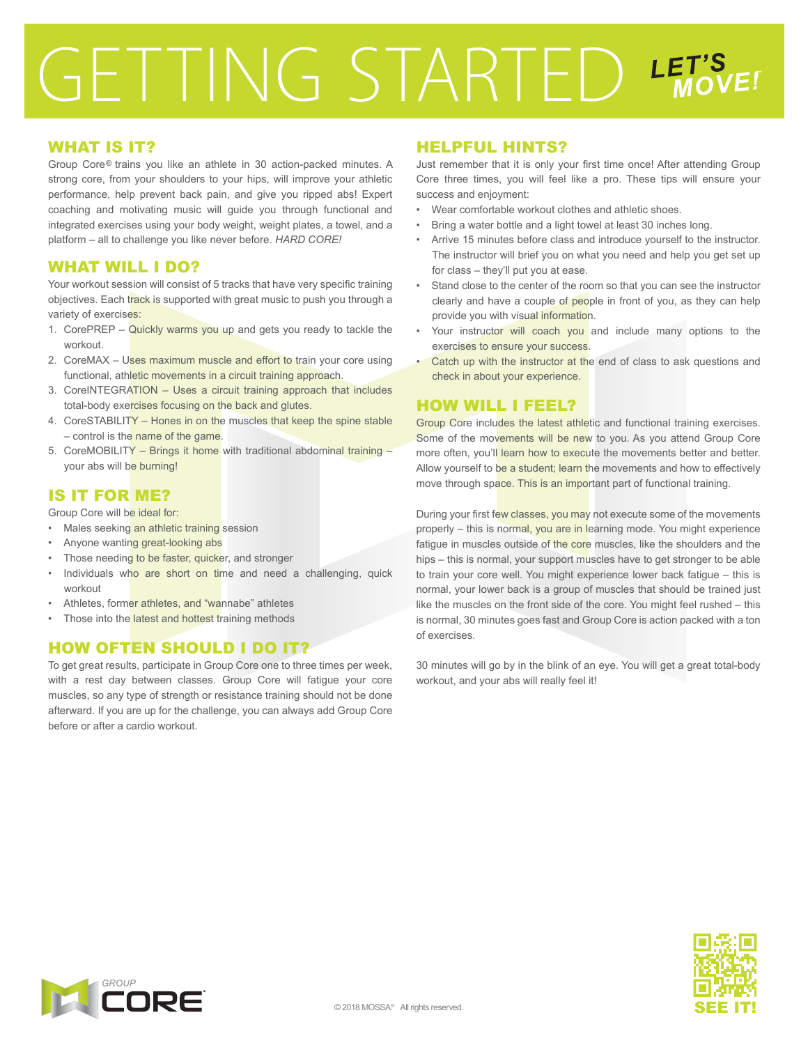# GETTING STARTED LET'S

# WHAT IS IT?

Group Core® trains you like an athlete in 30 action-packed minutes. A strong core, from your shoulders to your hips, will improve your athletic performance, help prevent back pain, and give you ripped abs! Expert coaching and motivating music will guide you through functional and integrated exercises using your body weight, weight plates, a towel, and a platform – all to challenge you like never before. *HARD CORE!*

### WHAT WILL I DO?

Your workout session will consist of 5 tracks that have very specific training objectives. Each track is supported with great music to push you through a variety of exercises:

- 1. CorePREP Quickly warms you up and gets you ready to tackle the workout.
- 2. CoreMAX Uses maximum muscle and effort to train your core using functional, athletic movements in a circuit training approach.
- 3. CoreINTEGRATION Uses a circuit training approach that includes total-body exercises focusing on the back and glutes.
- 4. CoreSTABILITY Hones in on the muscles that keep the spine stable – control is the name of the game.
- 5. CoreMOBILITY Brings it home with traditional abdominal training your abs will be burning!

# IS IT FOR ME?

Group Core will be ideal for:

- Males seeking an athletic training session
- Anyone wanting great-looking abs
- Those needing to be faster, quicker, and stronger
- Individuals who are short on time and need a challenging, quick workout
- Athletes, former athletes, and "wannabe" athletes
- Those into the latest and hottest training methods

# HOW OFTEN SHOULD I DO IT?

To get great results, participate in Group Core one to three times per week, with a rest day between classes. Group Core will fatigue your core muscles, so any type of strength or resistance training should not be done afterward. If you are up for the challenge, you can always add Group Core before or after a cardio workout.

### HELPFUL HINTS?

Just remember that it is only your first time once! After attending Group Core three times, you will feel like a pro. These tips will ensure your success and enjoyment:

- Wear comfortable workout clothes and athletic shoes.
- Bring a water bottle and a light towel at least 30 inches long.
- Arrive 15 minutes before class and introduce yourself to the instructor. The instructor will brief you on what you need and help you get set up for class – they'll put you at ease.
- Stand close to the center of the room so that you can see the instructor clearly and have a couple of people in front of you, as they can help provide you with visual information.
- Your instructor will coach you and include many options to the exercises to ensure your success.
- Catch up with the instructor at the end of class to ask questions and check in about your experience.

### HOW WILL I FEEL?

Group Core includes the latest athletic and functional training exercises. Some of the movements will be new to you. As you attend Group Core more often, you'll learn how to execute the movements better and better. Allow yourself to be a student; learn the movements and how to effectively move through space. This is an important part of functional training.

During your first few classes, you may not execute some of the movements properly – this is normal, you are in learning mode. You might experience fatigue in muscles outside of the core muscles, like the shoulders and the hips – this is normal, your support muscles have to get stronger to be able to train your core well. You might experience lower back fatigue – this is normal, your lower back is a group of muscles that should be trained just like the muscles on the front side of the core. You might feel rushed – this is normal, 30 minutes goes fast and Group Core is action packed with a ton of exercises.

30 minutes will go by in the blink of an eye. You will get a great total-body workout, and your abs will really feel it!